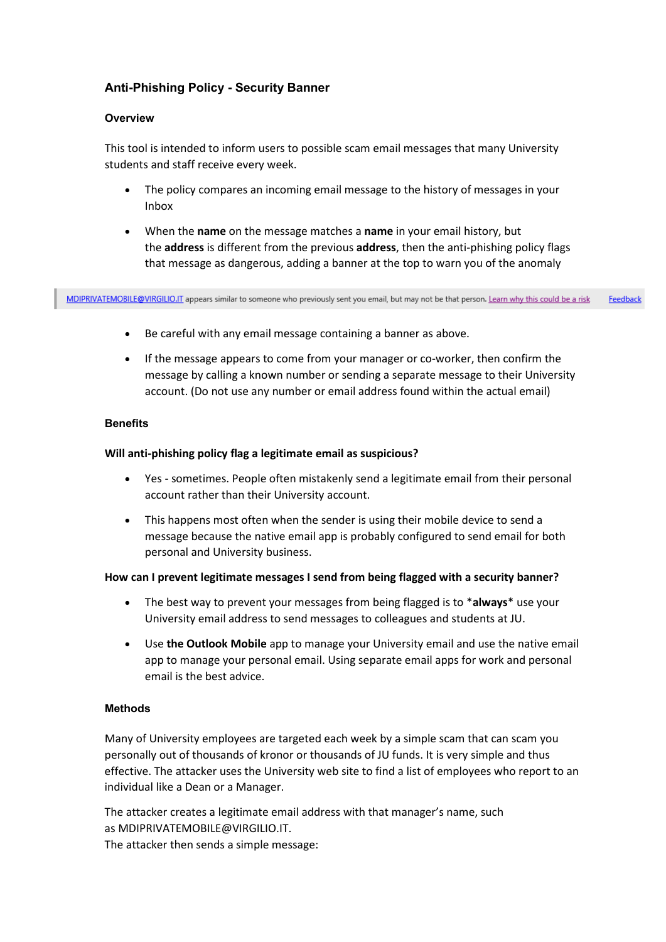# **Anti-Phishing Policy - Security Banner**

### **Overview**

This tool is intended to inform users to possible scam email messages that many University students and staff receive every week.

- The policy compares an incoming email message to the history of messages in your Inbox
- When the **name** on the message matches a **name** in your email history, but the **address** is different from the previous **address**, then the anti-phishing policy flags that message as dangerous, adding a banner at the top to warn you of the anomaly

MDIPRIVATEMOBILE@VIRGILIO.IT appears similar to someone who previously sent you email, but may not be that person. Learn why this could be a risk Feedback

- Be careful with any email message containing a banner as above.
- If the message appears to come from your manager or co-worker, then confirm the message by calling a known number or sending a separate message to their University account. (Do not use any number or email address found within the actual email)

## **Benefits**

## **Will anti-phishing policy flag a legitimate email as suspicious?**

- Yes sometimes. People often mistakenly send a legitimate email from their personal account rather than their University account.
- This happens most often when the sender is using their mobile device to send a message because the native email app is probably configured to send email for both personal and University business.

#### **How can I prevent legitimate messages I send from being flagged with a security banner?**

- The best way to prevent your messages from being flagged is to \***always**\* use your University email address to send messages to colleagues and students at JU.
- Use **the Outlook Mobile** app to manage your University email and use the native email app to manage your personal email. Using separate email apps for work and personal email is the best advice.

#### **Methods**

Many of University employees are targeted each week by a simple scam that can scam you personally out of thousands of kronor or thousands of JU funds. It is very simple and thus effective. The attacker uses the University web site to find a list of employees who report to an individual like a Dean or a Manager.

The attacker creates a legitimate email address with that manager's name, such as MDIPRIVATEMOBILE@VIRGILIO.IT. The attacker then sends a simple message: